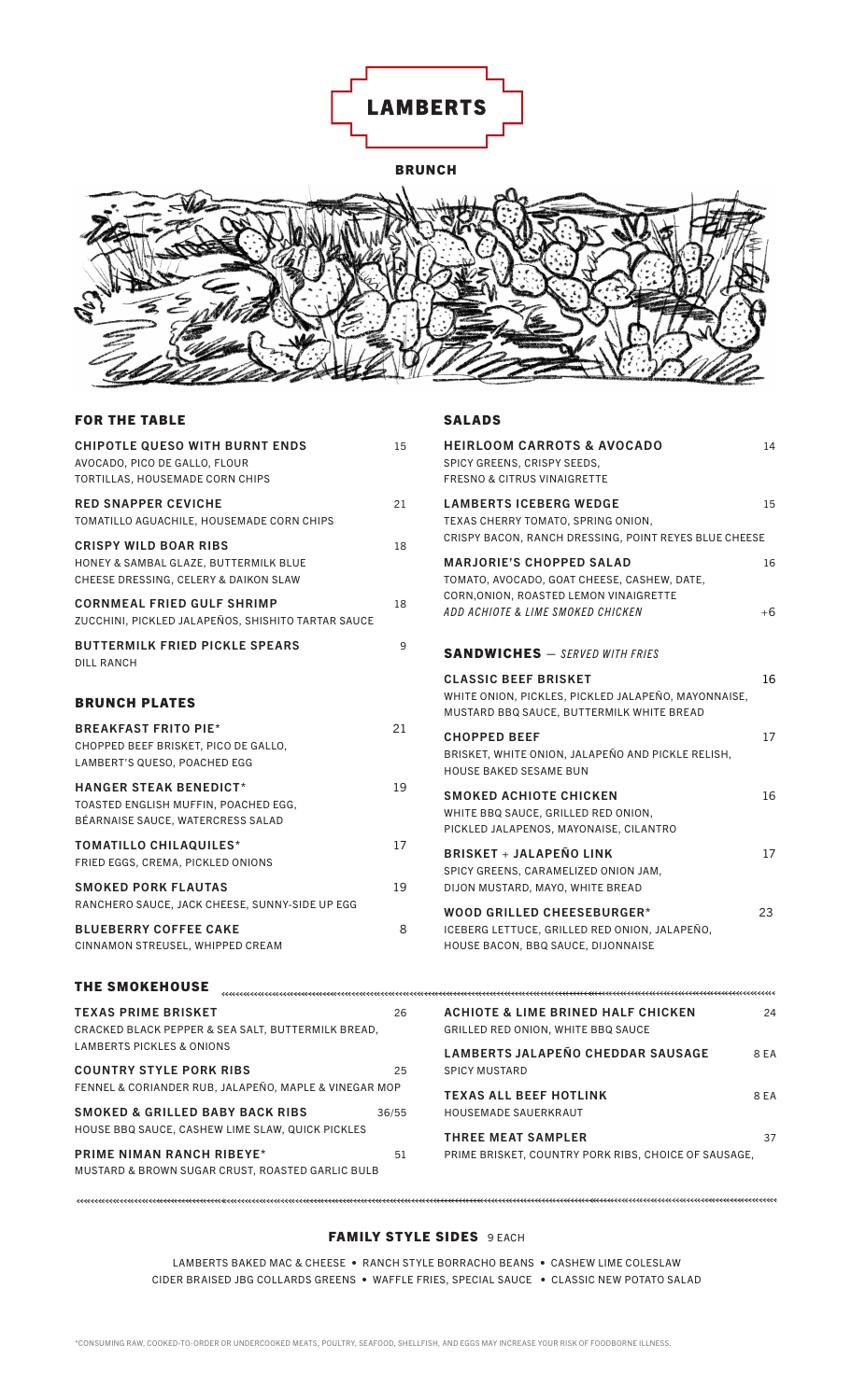

BRUNCH



SALADS

#### FOR THE TABLE

| <b>CHIPOTLE QUESO WITH BURNT ENDS</b><br>AVOCADO, PICO DE GALLO, FLOUR<br>TORTILLAS, HOUSEMADE CORN CHIPS      | 15 | <b>HEIRLOOM CARROTS &amp; AVOCADO</b><br>SPICY GREENS, CRISPY SEEDS,<br><b>FRESNO &amp; CITRUS VINAIGRETTE</b>                          | 14   |
|----------------------------------------------------------------------------------------------------------------|----|-----------------------------------------------------------------------------------------------------------------------------------------|------|
| <b>RED SNAPPER CEVICHE</b><br>TOMATILLO AGUACHILE, HOUSEMADE CORN CHIPS                                        | 21 | <b>LAMBERTS ICEBERG WEDGE</b><br>TEXAS CHERRY TOMATO, SPRING ONION,                                                                     | 15   |
| <b>CRISPY WILD BOAR RIBS</b><br>HONEY & SAMBAL GLAZE, BUTTERMILK BLUE<br>CHEESE DRESSING, CELERY & DAIKON SLAW | 18 | CRISPY BACON, RANCH DRESSING, POINT REYES BLUE CHEESE<br><b>MARJORIE'S CHOPPED SALAD</b><br>TOMATO, AVOCADO, GOAT CHEESE, CASHEW, DATE, | 16   |
| <b>CORNMEAL FRIED GULF SHRIMP</b><br>ZUCCHINI, PICKLED JALAPEÑOS, SHISHITO TARTAR SAUCE                        | 18 | CORN, ONION, ROASTED LEMON VINAIGRETTE<br>ADD ACHIOTE & LIME SMOKED CHICKEN                                                             | $+6$ |
| <b>BUTTERMILK FRIED PICKLE SPEARS</b><br><b>DILL RANCH</b>                                                     | 9  | <b>SANDWICHES</b> - SERVED WITH FRIES                                                                                                   |      |
| <b>BRUNCH PLATES</b>                                                                                           |    | <b>CLASSIC BEEF BRISKET</b><br>WHITE ONION, PICKLES, PICKLED JALAPEÑO, MAYONNAISE,<br>MUSTARD BBQ SAUCE, BUTTERMILK WHITE BREAD         | 16   |
| <b>BREAKFAST FRITO PIE*</b><br>CHOPPED BEEF BRISKET, PICO DE GALLO,<br>LAMBERT'S QUESO, POACHED EGG            | 21 | <b>CHOPPED BEEF</b><br>BRISKET, WHITE ONION, JALAPEÑO AND PICKLE RELISH,<br><b>HOUSE BAKED SESAME BUN</b>                               | 17   |
| <b>HANGER STEAK BENEDICT*</b><br>TOASTED ENGLISH MUFFIN, POACHED EGG,<br>BÉARNAISE SAUCE, WATERCRESS SALAD     | 19 | <b>SMOKED ACHIOTE CHICKEN</b><br>WHITE BBQ SAUCE, GRILLED RED ONION,<br>PICKLED JALAPENOS, MAYONAISE, CILANTRO                          | 16   |
| <b>TOMATILLO CHILAQUILES*</b><br>FRIED EGGS, CREMA, PICKLED ONIONS                                             | 17 | <b>BRISKET + JALAPEÑO LINK</b><br>SPICY GREENS, CARAMELIZED ONION JAM,                                                                  | 17   |
| <b>SMOKED PORK FLAUTAS</b><br>RANCHERO SAUCE, JACK CHEESE, SUNNY-SIDE UP EGG                                   | 19 | DIJON MUSTARD, MAYO, WHITE BREAD                                                                                                        |      |
| <b>BLUEBERRY COFFEE CAKE</b><br>CINNAMON STREUSEL, WHIPPED CREAM                                               | 8  | WOOD GRILLED CHEESEBURGER*<br>ICEBERG LETTUCE, GRILLED RED ONION, JALAPEÑO,<br>HOUSE BACON, BBQ SAUCE, DIJONNAISE                       | 23   |
| <b>THE SMOKEHOUSE</b>                                                                                          |    |                                                                                                                                         |      |

| <b>TEXAS PRIME BRISKET</b>                            | 26    | <b>ACHIOTE &amp; LIME BRINED HALF CHICKEN</b>        | 24   |
|-------------------------------------------------------|-------|------------------------------------------------------|------|
| CRACKED BLACK PEPPER & SEA SALT, BUTTERMILK BREAD,    |       | GRILLED RED ONION, WHITE BBQ SAUCE                   |      |
| <b>LAMBERTS PICKLES &amp; ONIONS</b>                  |       | <b>LAMBERTS JALAPEÑO CHEDDAR SAUSAGE</b>             | 8 EA |
| <b>COUNTRY STYLE PORK RIBS</b>                        | 25    | <b>SPICY MUSTARD</b>                                 |      |
| FENNEL & CORIANDER RUB, JALAPEÑO, MAPLE & VINEGAR MOP |       | <b>TEXAS ALL BEEF HOTLINK</b>                        | 8 EA |
| <b>SMOKED &amp; GRILLED BABY BACK RIBS</b>            | 36/55 | <b>HOUSEMADE SAUERKRAUT</b>                          |      |
| HOUSE BBQ SAUCE, CASHEW LIME SLAW, QUICK PICKLES      |       | <b>THREE MEAT SAMPLER</b>                            | 37   |
| <b>PRIME NIMAN RANCH RIBEYE*</b>                      | 51    | PRIME BRISKET, COUNTRY PORK RIBS, CHOICE OF SAUSAGE. |      |
| MUSTARD & BROWN SUGAR CRUST. ROASTED GARLIC BULB      |       |                                                      |      |
|                                                       |       |                                                      |      |

### FAMILY STYLE SIDES 9 EACH

LAMBERTS BAKED MAC & CHEESE • RANCH STYLE BORRACHO BEANS • CASHEW LIME COLESLAW CIDER BRAISED JBG COLLARDS GREENS • WAFFLE FRIES, SPECIAL SAUCE • CLASSIC NEW POTATO SALAD